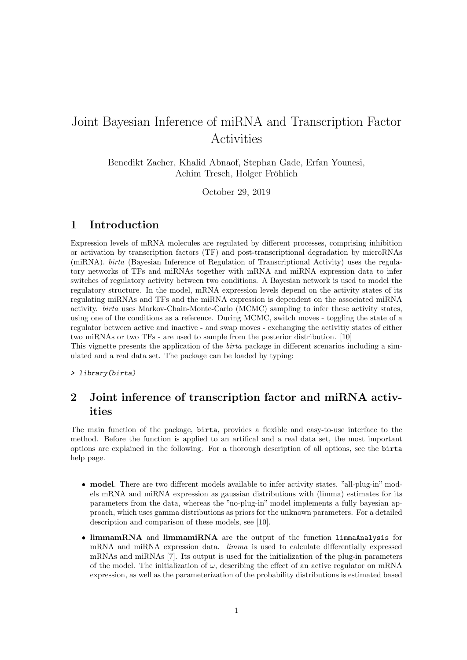# Joint Bayesian Inference of miRNA and Transcription Factor Activities

Benedikt Zacher, Khalid Abnaof, Stephan Gade, Erfan Younesi, Achim Tresch, Holger Fröhlich

October 29, 2019

# 1 Introduction

Expression levels of mRNA molecules are regulated by different processes, comprising inhibition or activation by transcription factors (TF) and post-transcriptional degradation by microRNAs (miRNA). birta (Bayesian Inference of Regulation of Transcriptional Activity) uses the regulatory networks of TFs and miRNAs together with mRNA and miRNA expression data to infer switches of regulatory activity between two conditions. A Bayesian network is used to model the regulatory structure. In the model, mRNA expression levels depend on the activity states of its regulating miRNAs and TFs and the miRNA expression is dependent on the associated miRNA activity. birta uses Markov-Chain-Monte-Carlo (MCMC) sampling to infer these activity states, using one of the conditions as a reference. During MCMC, switch moves - toggling the state of a regulator between active and inactive - and swap moves - exchanging the activitiy states of either two miRNAs or two TFs - are used to sample from the posterior distribution. [10]

This vignette presents the application of the birta package in different scenarios including a simulated and a real data set. The package can be loaded by typing:

> library(birta)

# 2 Joint inference of transcription factor and miRNA activities

The main function of the package, birta, provides a flexible and easy-to-use interface to the method. Before the function is applied to an artifical and a real data set, the most important options are explained in the following. For a thorough description of all options, see the birta help page.

- model. There are two different models available to infer activity states. "all-plug-in" models mRNA and miRNA expression as gaussian distributions with (limma) estimates for its parameters from the data, whereas the "no-plug-in" model implements a fully bayesian approach, which uses gamma distributions as priors for the unknown parameters. For a detailed description and comparison of these models, see [10].
- limmamRNA and limmamiRNA are the output of the function limmaAnalysis for mRNA and miRNA expression data. limma is used to calculate differentially expressed mRNAs and miRNAs [7]. Its output is used for the initialization of the plug-in parameters of the model. The initialization of  $\omega$ , describing the effect of an active regulator on mRNA expression, as well as the parameterization of the probability distributions is estimated based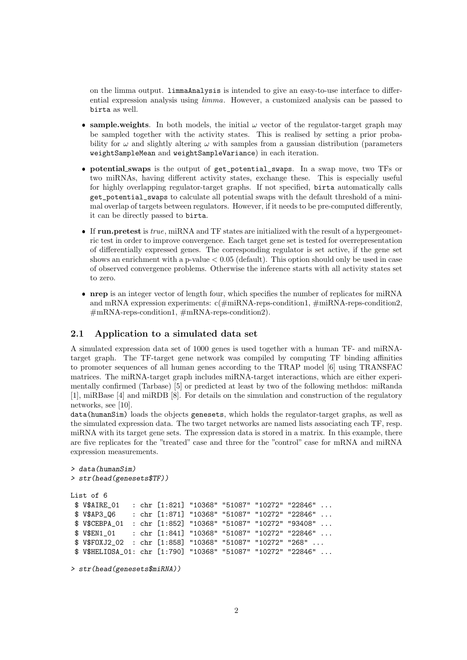on the limma output. limmaAnalysis is intended to give an easy-to-use interface to differential expression analysis using limma. However, a customized analysis can be passed to birta as well.

- **sample.weights**. In both models, the initial  $\omega$  vector of the regulator-target graph may be sampled together with the activity states. This is realised by setting a prior probability for  $\omega$  and slightly altering  $\omega$  with samples from a gaussian distribution (parameters weightSampleMean and weightSampleVariance) in each iteration.
- potential swaps is the output of get\_potential\_swaps. In a swap move, two TFs or two miRNAs, having different activity states, exchange these. This is especially useful for highly overlapping regulator-target graphs. If not specified, birta automatically calls get\_potential\_swaps to calculate all potential swaps with the default threshold of a minimal overlap of targets between regulators. However, if it needs to be pre-computed differently, it can be directly passed to birta.
- If run.pretest is  $true$ , miRNA and TF states are initialized with the result of a hypergeometric test in order to improve convergence. Each target gene set is tested for overrepresentation of differentially expressed genes. The corresponding regulator is set active, if the gene set shows an enrichment with a p-value  $< 0.05$  (default). This option should only be used in case of observed convergence problems. Otherwise the inference starts with all activity states set to zero.
- nrep is an integer vector of length four, which specifies the number of replicates for miRNA and mRNA expression experiments:  $c(\text{\#miRNA-reps-condition1}, \text{\#miRNA-reps-condition2},$ #mRNA-reps-condition1, #mRNA-reps-condition2).

## 2.1 Application to a simulated data set

A simulated expression data set of 1000 genes is used together with a human TF- and miRNAtarget graph. The TF-target gene network was compiled by computing TF binding affinities to promoter sequences of all human genes according to the TRAP model [6] using TRANSFAC matrices. The miRNA-target graph includes miRNA-target interactions, which are either experimentally confirmed (Tarbase) [5] or predicted at least by two of the following methdos: miRanda [1], miRBase [4] and miRDB [8]. For details on the simulation and construction of the regulatory networks, see [10].

data(humanSim) loads the objects genesets, which holds the regulator-target graphs, as well as the simulated expression data. The two target networks are named lists associating each TF, resp. miRNA with its target gene sets. The expression data is stored in a matrix. In this example, there are five replicates for the "treated" case and three for the "control" case for mRNA and miRNA expression measurements.

```
> data(humanSim)
> str(head(genesets$TF))
List of 6
$ V$AIRE_01 : chr [1:821] "10368" "51087" "10272" "22846" ...
$ V$AP3_Q6 : chr [1:871] "10368" "51087" "10272" "22846" ...
$ V$CEBPA_01 : chr [1:852] "10368" "51087" "10272" "93408" ...
$ V$EN1_01 : chr [1:841] "10368" "51087" "10272" "22846" ...
$ V$FOXJ2_02 : chr [1:858] "10368" "51087" "10272" "268" ...
$ V$HELIOSA_01: chr [1:790] "10368" "51087" "10272" "22846" ...
```
> str(head(genesets\$miRNA))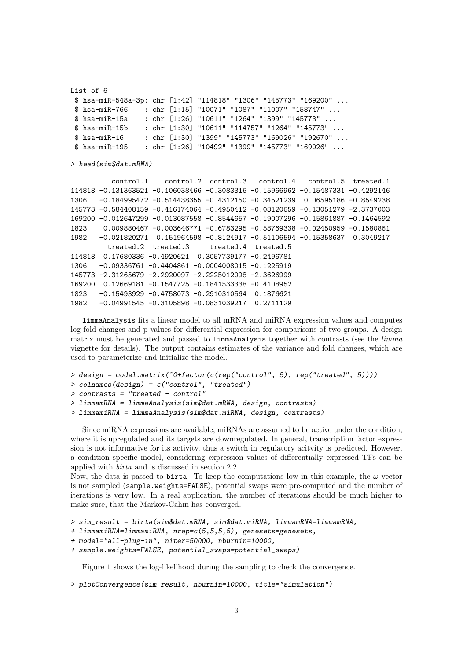```
List of 6
$ hsa-miR-548a-3p: chr [1:42] "114818" "1306" "145773" "169200" ...
$ hsa-miR-766 : chr [1:15] "10071" "1087" "11007" "158747" ...
$ hsa-miR-15a : chr [1:26] "10611" "1264" "1399" "145773" ...
$ hsa-miR-15b : chr [1:30] "10611" "114757" "1264" "145773" ...
$ hsa-miR-16 : chr [1:30] "1399" "145773" "169026" "192670" ...
$ hsa-miR-195 : chr [1:26] "10492" "1399" "145773" "169026" ...
> head(sim$dat.mRNA)
         control.1 control.2 control.3 control.4 control.5 treated.1
114818 -0.131363521 -0.106038466 -0.3083316 -0.15966962 -0.15487331 -0.4292146
1306 -0.184995472 -0.514438355 -0.4312150 -0.34521239 0.06595186 -0.8549238
145773 -0.584408159 -0.416174064 -0.4950412 -0.08120659 -0.13051279 -2.3737003
169200 -0.012647299 -0.013087558 -0.8544657 -0.19007296 -0.15861887 -0.1464592
1823 0.009880467 -0.003646771 -0.6783295 -0.58769338 -0.02450959 -0.1580861
1982 -0.021820271 0.151964598 -0.8124917 -0.51106594 -0.15358637 0.3049217
        treated.2 treated.3 treated.4 treated.5
114818 0.17680336 -0.4920621 0.3057739177 -0.2496781
1306 -0.09336761 -0.4404861 -0.0004008015 -0.1225919
145773 -2.31265679 -2.2920097 -2.2225012098 -2.3626999
169200 0.12669181 -0.1547725 -0.1841533338 -0.4108952
1823 -0.15493929 -0.4758073 -0.2910310564 0.1876621
1982 -0.04991545 -0.3105898 -0.0831039217 0.2711129
```
limmaAnalysis fits a linear model to all mRNA and miRNA expression values and computes log fold changes and p-values for differential expression for comparisons of two groups. A design matrix must be generated and passed to limmaAnalysis together with contrasts (see the limma vignette for details). The output contains estimates of the variance and fold changes, which are used to parameterize and initialize the model.

```
> design = model.matrix(~0+factor(c(rep("control", 5), rep("treated", 5))))
> colnames(design) = c("control", "treated")
> contrasts = "treated - control"
> limmamRNA = limmaAnalysis(sim$dat.mRNA, design, contrasts)
> limmamiRNA = limmaAnalysis(sim$dat.miRNA, design, contrasts)
```
Since miRNA expressions are available, miRNAs are assumed to be active under the condition, where it is upregulated and its targets are downregulated. In general, transcription factor expression is not informative for its activity, thus a switch in regulatory acitvity is predicted. However, a condition specific model, considering expression values of differentially expressed TFs can be applied with birta and is discussed in section 2.2.

Now, the data is passed to birta. To keep the computations low in this example, the  $\omega$  vector is not sampled (sample.weights=FALSE), potential swaps were pre-computed and the number of iterations is very low. In a real application, the number of iterations should be much higher to make sure, that the Markov-Cahin has converged.

```
> sim_result = birta(sim$dat.mRNA, sim$dat.miRNA, limmamRNA=limmamRNA,
```

```
+ limmamiRNA=limmamiRNA, nrep=c(5,5,5,5), genesets=genesets,
```

```
+ model="all-plug-in", niter=50000, nburnin=10000,
```

```
+ sample.weights=FALSE, potential_swaps=potential_swaps)
```
Figure 1 shows the log-likelihood during the sampling to check the convergence.

```
> plotConvergence(sim_result, nburnin=10000, title="simulation")
```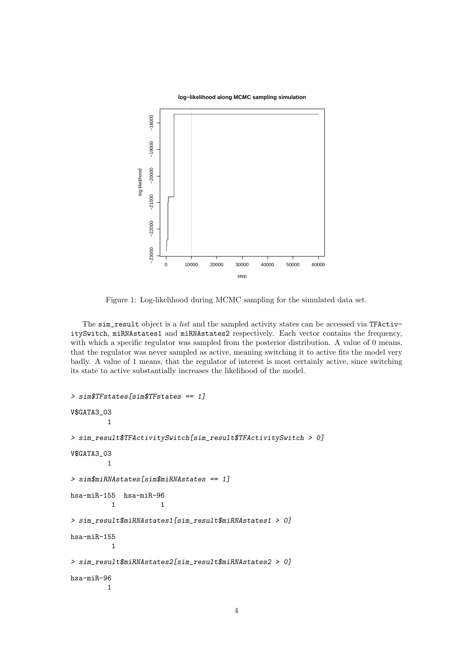

Figure 1: Log-likelihood during MCMC sampling for the simulated data set.

The sim\_result object is a *list* and the sampled activity states can be accessed via TFActivitySwitch, miRNAstates1 and miRNAstates2 respectively. Each vector contains the frequency, with which a specific regulator was sampled from the posterior distribution. A value of 0 means, that the regulator was never sampled as active, meaning switching it to active fits the model very badly. A value of 1 means, that the regulator of interest is most certainly active, since switching its state to active substantially increases the likelihood of the model.

```
> sim$TFstates[sim$TFstates == 1]
V$GATA3_03
        1
> sim_result$TFActivitySwitch[sim_result$TFActivitySwitch > 0]
V$GATA3_03
        1
> sim$miRNAstates[sim$miRNAstates == 1]
hsa-miR-155 hsa-miR-96
          1 1
> sim_result$miRNAstates1[sim_result$miRNAstates1 > 0]
hsa-miR-155
         1
> sim_result$miRNAstates2[sim_result$miRNAstates2 > 0]
hsa-miR-96
        1
```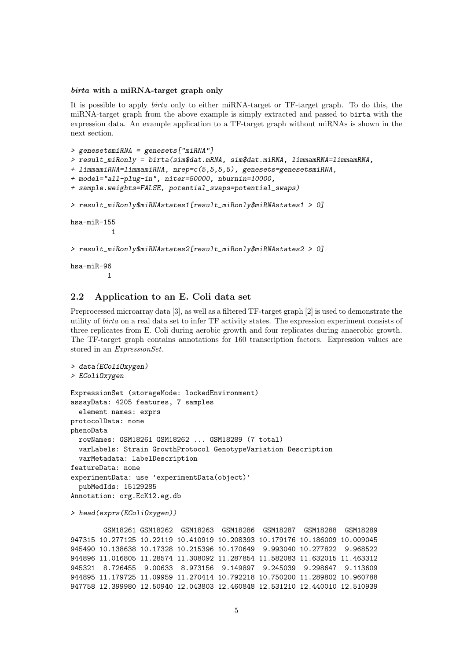#### birta with a miRNA-target graph only

It is possible to apply birta only to either miRNA-target or TF-target graph. To do this, the miRNA-target graph from the above example is simply extracted and passed to birta with the expression data. An example application to a TF-target graph without miRNAs is shown in the next section.

```
> genesetsmiRNA = genesets["miRNA"]
> result_miRonly = birta(sim$dat.mRNA, sim$dat.miRNA, limmamRNA=limmamRNA,
+ limmamiRNA=limmamiRNA, nrep=c(5,5,5,5), genesets=genesetsmiRNA,
+ model="all-plug-in", niter=50000, nburnin=10000,
+ sample.weights=FALSE, potential_swaps=potential_swaps)
> result_miRonly$miRNAstates1[result_miRonly$miRNAstates1 > 0]
hsa-miR-155
          1
> result_miRonly$miRNAstates2[result_miRonly$miRNAstates2 > 0]
hsa-miR-96
         1
```
## 2.2 Application to an E. Coli data set

Preprocessed microarray data [3], as well as a filtered TF-target graph [2] is used to demonstrate the utility of birta on a real data set to infer TF activity states. The expression experiment consists of three replicates from E. Coli during aerobic growth and four replicates during anaerobic growth. The TF-target graph contains annotations for 160 transcription factors. Expression values are stored in an ExpressionSet.

```
> data(EColiOxygen)
> EColiOxygen
ExpressionSet (storageMode: lockedEnvironment)
assayData: 4205 features, 7 samples
  element names: exprs
protocolData: none
phenoData
 rowNames: GSM18261 GSM18262 ... GSM18289 (7 total)
  varLabels: Strain GrowthProtocol GenotypeVariation Description
  varMetadata: labelDescription
featureData: none
experimentData: use 'experimentData(object)'
 pubMedIds: 15129285
Annotation: org.EcK12.eg.db
```
> head(exprs(EColiOxygen))

```
GSM18261 GSM18262 GSM18263 GSM18286 GSM18287 GSM18288 GSM18289
947315 10.277125 10.22119 10.410919 10.208393 10.179176 10.186009 10.009045
945490 10.138638 10.17328 10.215396 10.170649 9.993040 10.277822 9.968522
944896 11.016805 11.28574 11.308092 11.287854 11.582083 11.632015 11.463312
945321 8.726455 9.00633 8.973156 9.149897 9.245039 9.298647 9.113609
944895 11.179725 11.09959 11.270414 10.792218 10.750200 11.289802 10.960788
947758 12.399980 12.50940 12.043803 12.460848 12.531210 12.440010 12.510939
```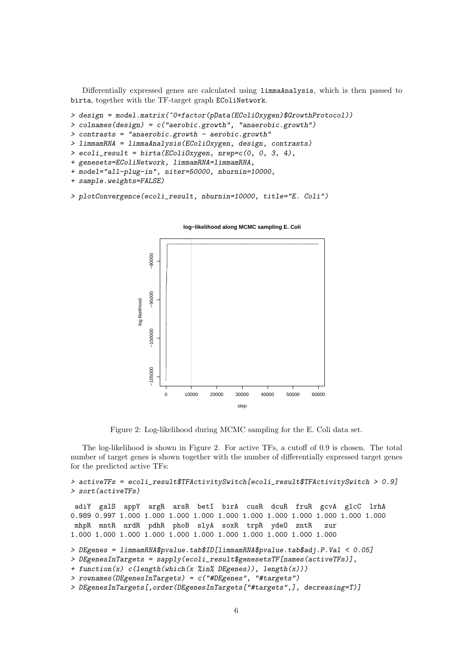Differentially expressed genes are calculated using limmaAnalysis, which is then passed to birta, together with the TF-target graph EColiNetwork.

```
> design = model.matrix(~0+factor(pData(EColiOxygen)$GrowthProtocol))
```
- > colnames(design) = c("aerobic.growth", "anaerobic.growth")
- $>$  contrasts = "anaerobic.growth aerobic.growth"
- > limmamRNA = limmaAnalysis(EColiOxygen, design, contrasts)
- $>$  ecoli\_result = birta(EColiOxygen, nrep= $c(0, 0, 3, 4)$ ,
- + genesets=EColiNetwork, limmamRNA=limmamRNA,
- + model="all-plug-in", niter=50000, nburnin=10000,

```
+ sample.weights=FALSE)
```

```
> plotConvergence(ecoli_result, nburnin=10000, title="E. Coli")
```


**log−likelihood along MCMC sampling E. Coli**

Figure 2: Log-likelihood during MCMC sampling for the E. Coli data set.

The log-likelihood is shown in Figure 2. For active TFs, a cutoff of 0.9 is chosen. The total number of target genes is shown together with the number of differentially expressed target genes for the predicted active TFs:

```
> activeTFs = ecoli_result$TFActivitySwitch[ecoli_result$TFActivitySwitch > 0.9]
> sort(activeTFs)
adiY galS appY argR arsR betI birA cusR dcuR fruR gcvA glcC lrhA
0.989 0.997 1.000 1.000 1.000 1.000 1.000 1.000 1.000 1.000 1.000 1.000 1.000
mhpR mntR nrdR pdhR phoB slyA soxR trpR ydeO zntR zur
1.000 1.000 1.000 1.000 1.000 1.000 1.000 1.000 1.000 1.000 1.000
> DEgenes = limmamRNA$pvalue.tab$ID[limmamRNA$pvalue.tab$adj.P.Val < 0.05]
> DEgenesInTargets = sapply(ecoli_result$genesetsTF[names(activeTFs)],
+ function(x) c(length(which(x %in% DEgenes)), length(x)))
> rownames(DEgenesInTargets) = c("#DEgenes", "#targets")
> DEgenesInTargets[,order(DEgenesInTargets["#targets",], decreasing=T)]
```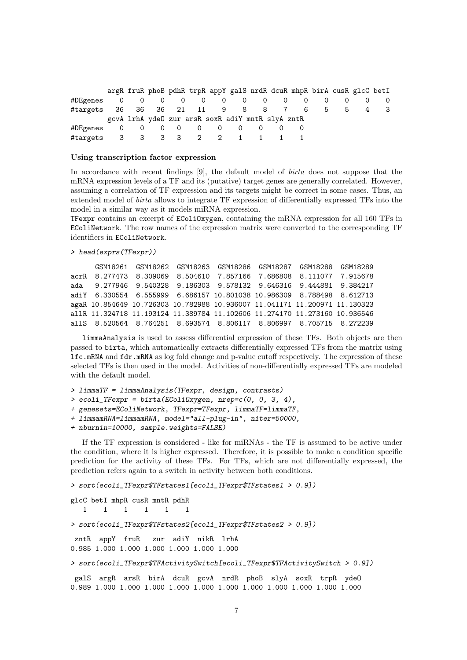|          |     |   | argR fruR phoB pdhR trpR appY galS nrdR dcuR mhpR birA cusR glcC betI |  |                          |  |             |   |     |
|----------|-----|---|-----------------------------------------------------------------------|--|--------------------------|--|-------------|---|-----|
| #DEgenes | 0   |   |                                                                       |  | $0\quad 0\quad 0\quad 0$ |  |             |   |     |
| #targets |     |   | 36 36 36 21 11                                                        |  | 9 8 8 7                  |  | 6 —<br>$-5$ | b | - 3 |
|          |     |   | gcvA lrhA ydeO zur arsR soxR adiY mntR slyA zntR                      |  |                          |  |             |   |     |
| #DEgenes |     |   | $0\quad 0\quad 0\quad 0\quad 0$                                       |  |                          |  |             |   |     |
| #targets | - 3 | 3 | 3 2 2 1                                                               |  |                          |  |             |   |     |

#### Using transcription factor expression

In accordance with recent findings [9], the default model of birta does not suppose that the mRNA expression levels of a TF and its (putative) target genes are generally correlated. However, assuming a correlation of TF expression and its targets might be correct in some cases. Thus, an extended model of birta allows to integrate TF expression of differentially expressed TFs into the model in a similar way as it models miRNA expression.

TFexpr contains an excerpt of EColiOxygen, containing the mRNA expression for all 160 TFs in EColiNetwork. The row names of the expression matrix were converted to the corresponding TF identifiers in EColiNetwork.

```
> head(exprs(TFexpr))
```

```
GSM18261 GSM18262 GSM18263 GSM18286 GSM18287 GSM18288 GSM18289
acrR 8.277473 8.309069 8.504610 7.857166 7.686808 8.111077 7.915678
ada 9.277946 9.540328 9.186303 9.578132 9.646316 9.444881 9.384217
adiY 6.330554 6.555999 6.686157 10.801038 10.986309 8.788498 8.612713
agaR 10.854649 10.726303 10.782988 10.936007 11.041171 11.200971 11.130323
allR 11.324718 11.193124 11.389784 11.102606 11.274170 11.273160 10.936546
allS 8.520564 8.764251 8.693574 8.806117 8.806997 8.705715 8.272239
```
limmaAnalysis is used to assess differential expression of these TFs. Both objects are then passed to birta, which automatically extracts differentially expressed TFs from the matrix using lfc.mRNA and fdr.mRNA as log fold change and p-value cutoff respectively. The expression of these selected TFs is then used in the model. Activities of non-differentially expressed TFs are modeled with the default model.

```
> limmaTF = limmaAnalysis(TFexpr, design, contrasts)
```
 $>$  ecoli\_TFexpr = birta(EColiOxygen, nrep= $c(0, 0, 3, 4)$ ,

```
+ genesets=EColiNetwork, TFexpr=TFexpr, limmaTF=limmaTF,
```
+ limmamRNA=limmamRNA, model="all-plug-in", niter=50000,

+ nburnin=10000, sample.weights=FALSE)

If the TF expression is considered - like for miRNAs - the TF is assumed to be active under the condition, where it is higher expressed. Therefore, it is possible to make a condition specific prediction for the activity of these TFs. For TFs, which are not differentially expressed, the prediction refers again to a switch in activity between both conditions.

```
> sort(ecoli_TFexpr$TFstates1[ecoli_TFexpr$TFstates1 > 0.9])
```

```
glcC betI mhpR cusR mntR pdhR
   1 1 1 1 1 1
> sort(ecoli_TFexpr$TFstates2[ecoli_TFexpr$TFstates2 > 0.9])
zntR appY fruR zur adiY nikR lrhA
0.985 1.000 1.000 1.000 1.000 1.000 1.000
> sort(ecoli_TFexpr$TFActivitySwitch[ecoli_TFexpr$TFActivitySwitch > 0.9])
galS argR arsR birA dcuR gcvA nrdR phoB slyA soxR trpR ydeO
0.989 1.000 1.000 1.000 1.000 1.000 1.000 1.000 1.000 1.000 1.000 1.000
```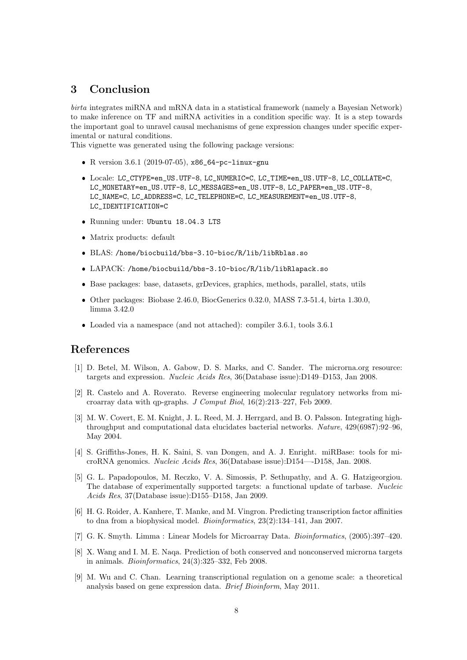# 3 Conclusion

birta integrates miRNA and mRNA data in a statistical framework (namely a Bayesian Network) to make inference on TF and miRNA activities in a condition specific way. It is a step towards the important goal to unravel causal mechanisms of gene expression changes under specific experimental or natural conditions.

This vignette was generated using the following package versions:

- R version 3.6.1 (2019-07-05), x86\_64-pc-linux-gnu
- Locale: LC\_CTYPE=en\_US.UTF-8, LC\_NUMERIC=C, LC\_TIME=en\_US.UTF-8, LC\_COLLATE=C, LC\_MONETARY=en\_US.UTF-8, LC\_MESSAGES=en\_US.UTF-8, LC\_PAPER=en\_US.UTF-8, LC\_NAME=C, LC\_ADDRESS=C, LC\_TELEPHONE=C, LC\_MEASUREMENT=en\_US.UTF-8, LC\_IDENTIFICATION=C
- Running under: Ubuntu 18.04.3 LTS
- Matrix products: default
- BLAS: /home/biocbuild/bbs-3.10-bioc/R/lib/libRblas.so
- LAPACK: /home/biocbuild/bbs-3.10-bioc/R/lib/libRlapack.so
- Base packages: base, datasets, grDevices, graphics, methods, parallel, stats, utils
- Other packages: Biobase 2.46.0, BiocGenerics 0.32.0, MASS 7.3-51.4, birta 1.30.0, limma 3.42.0
- Loaded via a namespace (and not attached): compiler 3.6.1, tools 3.6.1

# References

- [1] D. Betel, M. Wilson, A. Gabow, D. S. Marks, and C. Sander. The microrna.org resource: targets and expression. Nucleic Acids Res, 36(Database issue):D149–D153, Jan 2008.
- [2] R. Castelo and A. Roverato. Reverse engineering molecular regulatory networks from microarray data with qp-graphs. J Comput Biol, 16(2):213–227, Feb 2009.
- [3] M. W. Covert, E. M. Knight, J. L. Reed, M. J. Herrgard, and B. O. Palsson. Integrating highthroughput and computational data elucidates bacterial networks. Nature, 429(6987):92–96, May 2004.
- [4] S. Griffiths-Jones, H. K. Saini, S. van Dongen, and A. J. Enright. miRBase: tools for microRNA genomics. Nucleic Acids Res, 36(Database issue):D154—-D158, Jan. 2008.
- [5] G. L. Papadopoulos, M. Reczko, V. A. Simossis, P. Sethupathy, and A. G. Hatzigeorgiou. The database of experimentally supported targets: a functional update of tarbase. Nucleic Acids Res, 37(Database issue):D155–D158, Jan 2009.
- [6] H. G. Roider, A. Kanhere, T. Manke, and M. Vingron. Predicting transcription factor affinities to dna from a biophysical model. Bioinformatics, 23(2):134–141, Jan 2007.
- [7] G. K. Smyth. Limma : Linear Models for Microarray Data. Bioinformatics, (2005):397–420.
- [8] X. Wang and I. M. E. Naqa. Prediction of both conserved and nonconserved microrna targets in animals. Bioinformatics, 24(3):325–332, Feb 2008.
- [9] M. Wu and C. Chan. Learning transcriptional regulation on a genome scale: a theoretical analysis based on gene expression data. Brief Bioinform, May 2011.